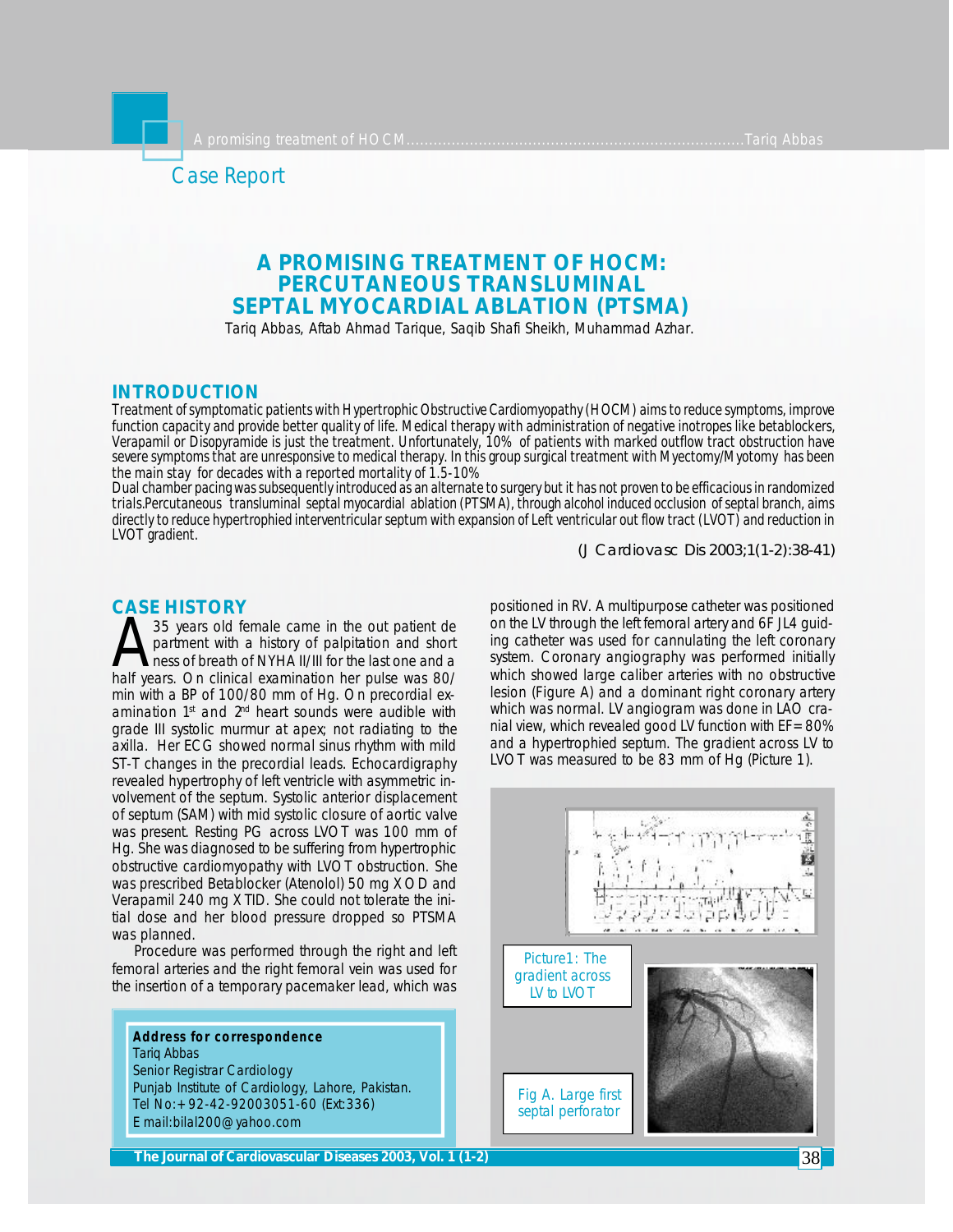

# **A PROMISING TREATMENT OF HOCM: PERCUTANEOUS TRANSLUMINAL SEPTAL MYOCARDIAL ABLATION (PTSMA)**

Tariq Abbas, Aftab Ahmad Tarique, Saqib Shafi Sheikh, Muhammad Azhar.

## **INTRODUCTION**

*Treatment of symptomatic patients with Hypertrophic Obstructive Cardiomyopathy (HOCM) aims to reduce symptoms, improve function capacity and provide better quality of life. Medical therapy with administration of negative inotropes like betablockers, Verapamil or Disopyramide is just the treatment. Unfortunately, 10% of patients with marked outflow tract obstruction have severe symptoms that are unresponsive to medical therapy. In this group surgical treatment with Myectomy/Myotomy has been the main stay for decades with a reported mortality of 1.5-10%*

*Dual chamber pacing was subsequently introduced as an alternate to surgery but it has not proven to be efficacious in randomized trials.Percutaneous transluminal septal myocardial ablation (PTSMA), through alcohol induced occlusion of septal branch, aims directly to reduce hypertrophied interventricular septum with expansion of Left ventricular out flow tract (LVOT) and reduction in LVOT gradient.*

*(J Cardiovasc Dis 2003;1(1-2):38-41)*

## **CASE HISTORY**

A 35 years old female came in the out patient de<br>partment with a history of palpitation and short<br>heres of breath of NYHA II/III for the last one and a<br>half years. On clinical examination her pulse was 80/ 35 years old female came in the out patient de partment with a history of palpitation and short ness of breath of NYHA II/III for the last one and a min with a BP of 100/80 mm of Hg. On precordial examination 1<sup>st</sup> and 2<sup>nd</sup> heart sounds were audible with grade III systolic murmur at apex; not radiating to the axilla. Her ECG showed normal sinus rhythm with mild ST-T changes in the precordial leads. Echocardigraphy revealed hypertrophy of left ventricle with asymmetric involvement of the septum. Systolic anterior displacement of septum (SAM) with mid systolic closure of aortic valve was present. Resting PG across LVOT was 100 mm of Hg. She was diagnosed to be suffering from hypertrophic obstructive cardiomyopathy with LVOT obstruction. She was prescribed Betablocker (Atenolol) 50 mg X OD and Verapamil 240 mg X TID. She could not tolerate the initial dose and her blood pressure dropped so PTSMA was planned.

Procedure was performed through the right and left femoral arteries and the right femoral vein was used for the insertion of a temporary pacemaker lead, which was

**Address for correspondence** Tariq Abbas Senior Registrar Cardiology Punjab Institute of Cardiology, Lahore, Pakistan. Tel No:+92-42-92003051-60 (Ext:336) E mail:bilal200@yahoo.com

positioned in RV. A multipurpose catheter was positioned on the LV through the left femoral artery and 6F JL4 guiding catheter was used for cannulating the left coronary system. Coronary angiography was performed initially which showed large caliber arteries with no obstructive lesion (Figure A) and a dominant right coronary artery which was normal. LV angiogram was done in LAO cranial view, which revealed good LV function with  $EF=80%$ and a hypertrophied septum. The gradient across LV to LVOT was measured to be 83 mm of Hg (Picture 1).

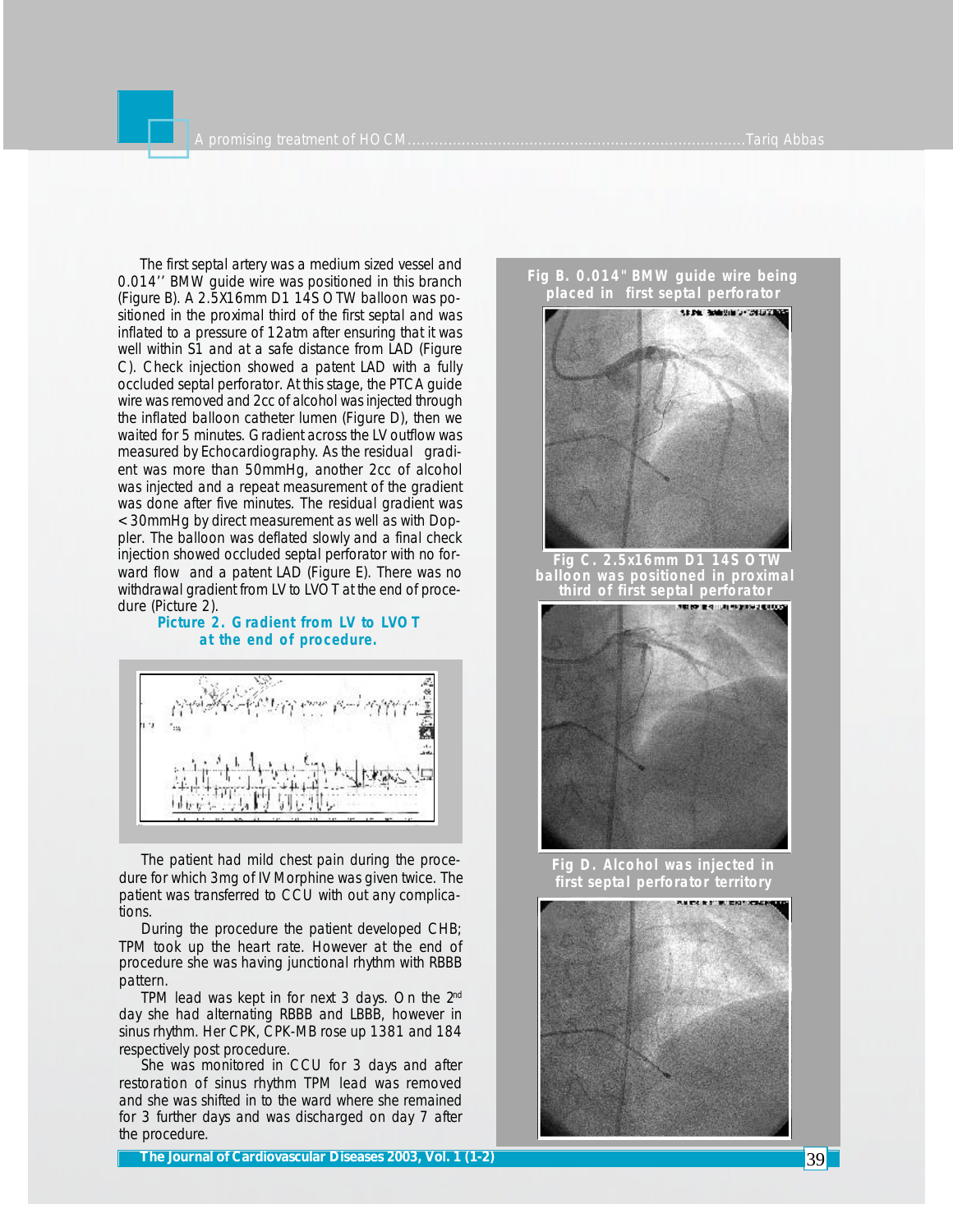The first septal artery was a medium sized vessel and 0.014'' BMW guide wire was positioned in this branch (Figure B). A 2.5X16mm D1 14S OTW balloon was positioned in the proximal third of the first septal and was inflated to a pressure of 12atm after ensuring that it was well within S1 and at a safe distance from LAD (Figure C). Check injection showed a patent LAD with a fully occluded septal perforator. At this stage, the PTCA guide wire was removed and 2cc of alcohol was injected through the inflated balloon catheter lumen (Figure D), then we waited for 5 minutes. Gradient across the LV outflow was measured by Echocardiography. As the residual gradient was more than 50mmHg, another 2cc of alcohol was injected and a repeat measurement of the gradient was done after five minutes. The residual gradient was <30mmHg by direct measurement as well as with Doppler. The balloon was deflated slowly and a final check injection showed occluded septal perforator with no forward flow and a patent LAD (Figure E). There was no withdrawal gradient from LV to LVOT at the end of procedure (Picture 2).

### **Picture 2. Gradient from LV to LVOT at the end of procedure.**



The patient had mild chest pain during the procedure for which 3mg of IV Morphine was given twice. The patient was transferred to CCU with out any complications.

During the procedure the patient developed CHB; TPM took up the heart rate. However at the end of procedure she was having junctional rhythm with RBBB pattern.

TPM lead was kept in for next 3 days. On the  $2<sup>nd</sup>$ day she had alternating RBBB and LBBB, however in sinus rhythm. Her CPK, CPK-MB rose up 1381 and 184 respectively post procedure.

She was monitored in CCU for 3 days and after restoration of sinus rhythm TPM lead was removed and she was shifted in to the ward where she remained for 3 further days and was discharged on day 7 after the procedure.

**The Journal of Cardiovascular Diseases 2003, Vol. 1 (1-2)** 39





 **Fig C. 2.5x16mm D1 14S OTW balloon was positioned in proximal third of first septal perforator**



**Fig D. Alcohol was injected in first septal perforator territory**

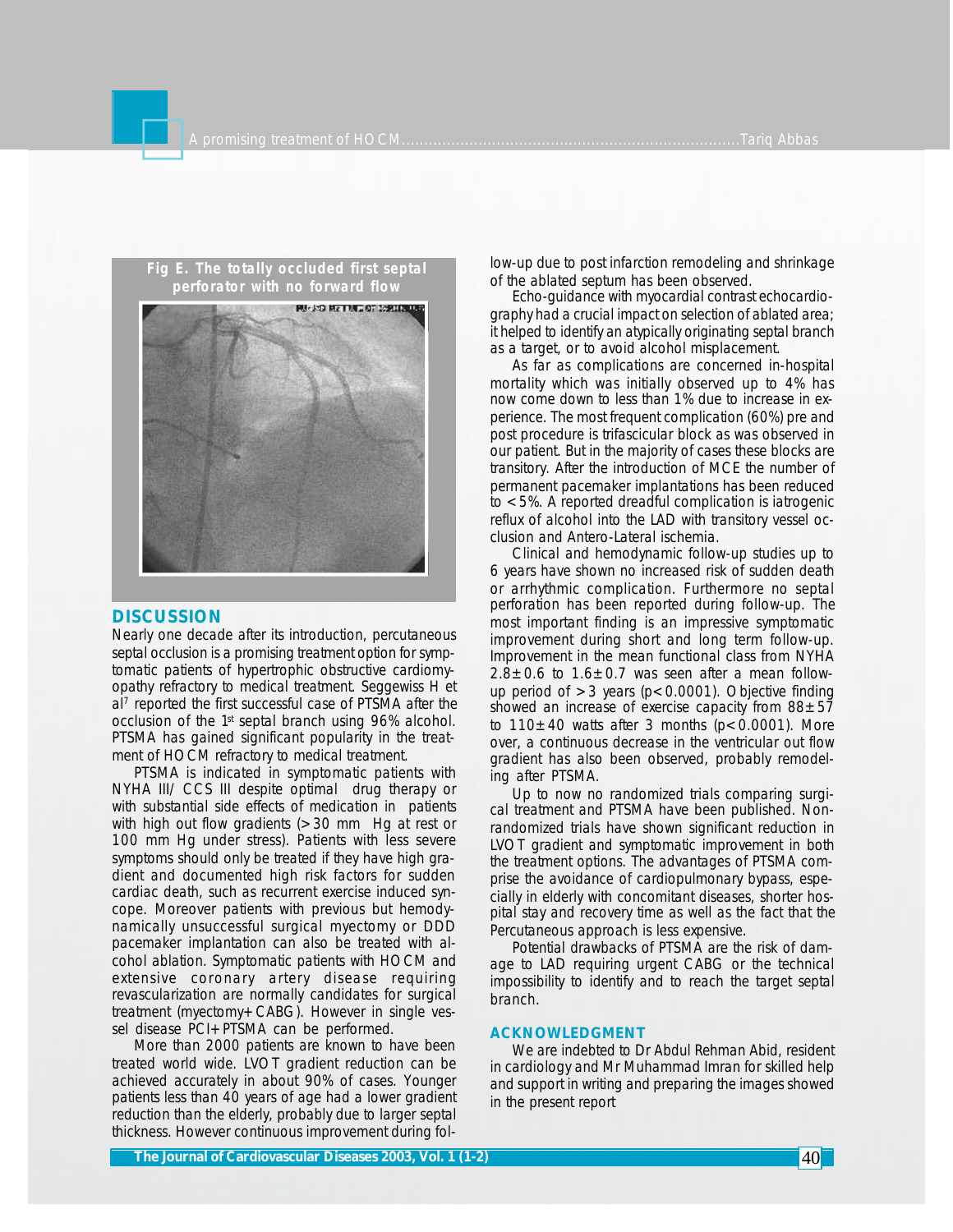

#### **DISCUSSION**

Nearly one decade after its introduction, percutaneous septal occlusion is a promising treatment option for symptomatic patients of hypertrophic obstructive cardiomyopathy refractory to medical treatment. Seggewiss H et al<sup>7</sup> reported the first successful case of PTSMA after the occlusion of the 1st septal branch using 96% alcohol. PTSMA has gained significant popularity in the treatment of HOCM refractory to medical treatment.

PTSMA is indicated in symptomatic patients with NYHA III/ CCS III despite optimal drug therapy or with substantial side effects of medication in patients with high out flow gradients (>30 mm Hg at rest or 100 mm Hg under stress). Patients with less severe symptoms should only be treated if they have high gradient and documented high risk factors for sudden cardiac death, such as recurrent exercise induced syncope. Moreover patients with previous but hemodynamically unsuccessful surgical myectomy or DDD pacemaker implantation can also be treated with alcohol ablation. Symptomatic patients with HOCM and extensive coronary artery disease requiring revascularization are normally candidates for surgical treatment (myectomy+CABG). However in single vessel disease PCI+PTSMA can be performed.

More than 2000 patients are known to have been treated world wide. LVOT gradient reduction can be achieved accurately in about 90% of cases. Younger patients less than 40 years of age had a lower gradient reduction than the elderly, probably due to larger septal thickness. However continuous improvement during follow-up due to post infarction remodeling and shrinkage of the ablated septum has been observed.

Echo-guidance with myocardial contrast echocardiography had a crucial impact on selection of ablated area; it helped to identify an atypically originating septal branch as a target, or to avoid alcohol misplacement.

As far as complications are concerned in-hospital mortality which was initially observed up to 4% has now come down to less than 1% due to increase in experience. The most frequent complication (60%) pre and post procedure is trifascicular block as was observed in our patient. But in the majority of cases these blocks are transitory. After the introduction of MCE the number of permanent pacemaker implantations has been reduced to <5%. A reported dreadful complication is iatrogenic reflux of alcohol into the LAD with transitory vessel occlusion and Antero-Lateral ischemia.

Clinical and hemodynamic follow-up studies up to 6 years have shown no increased risk of sudden death or arrhythmic complication. Furthermore no septal perforation has been reported during follow-up. The most important finding is an impressive symptomatic improvement during short and long term follow-up. Improvement in the mean functional class from NYHA  $2.8\pm0.6$  to  $1.6\pm0.7$  was seen after a mean followup period of  $>3$  years ( $p < 0.0001$ ). Objective finding showed an increase of exercise capacity from  $88 \pm 57$ to  $110\pm40$  watts after 3 months ( $p < 0.0001$ ). More over, a continuous decrease in the ventricular out flow gradient has also been observed, probably remodeling after PTSMA.

Up to now no randomized trials comparing surgical treatment and PTSMA have been published. Nonrandomized trials have shown significant reduction in LVOT gradient and symptomatic improvement in both the treatment options. The advantages of PTSMA comprise the avoidance of cardiopulmonary bypass, especially in elderly with concomitant diseases, shorter hospital stay and recovery time as well as the fact that the Percutaneous approach is less expensive.

Potential drawbacks of PTSMA are the risk of damage to LAD requiring urgent CABG or the technical impossibility to identify and to reach the target septal branch.

#### **ACKNOWLEDGMENT**

We are indebted to Dr Abdul Rehman Abid, resident in cardiology and Mr Muhammad Imran for skilled help and support in writing and preparing the images showed in the present report